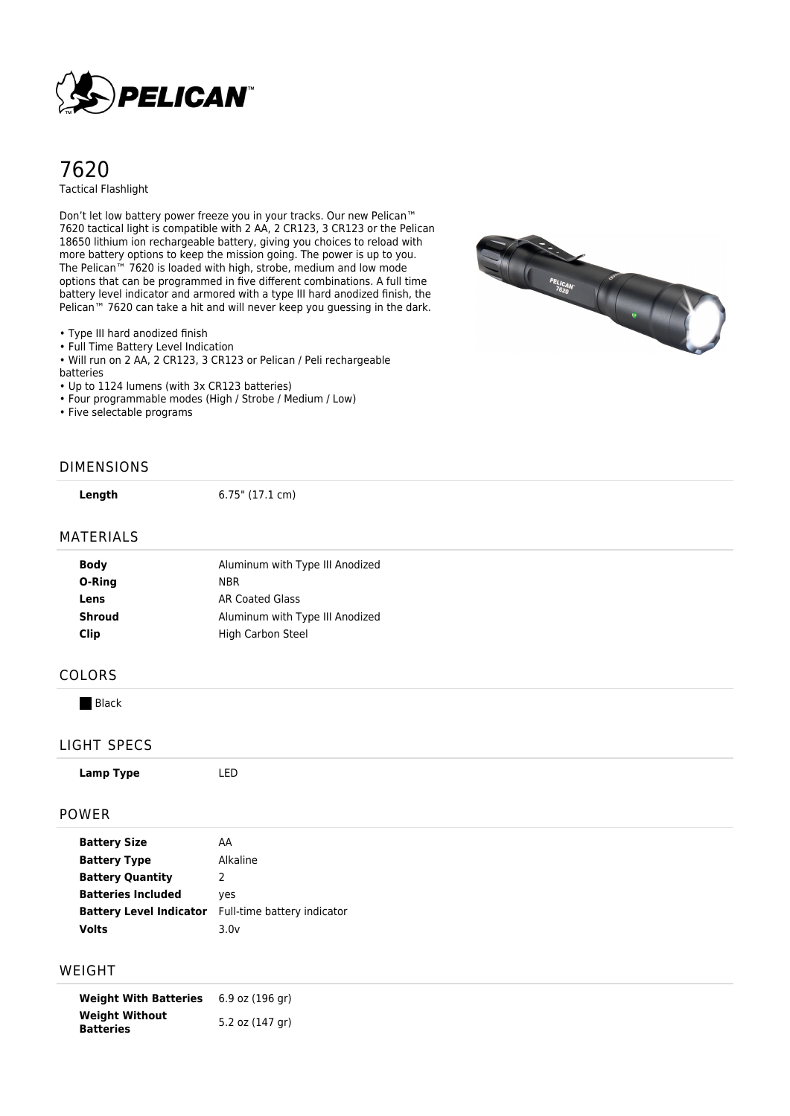

# 7620 Tactical Flashlight

Don't let low battery power freeze you in your tracks. Our new Pelican™ 7620 tactical light is compatible with 2 AA, 2 CR123, 3 CR123 or the Pelican 18650 lithium ion rechargeable battery, giving you choices to reload with more battery options to keep the mission going. The power is up to you. The Pelican™ 7620 is loaded with high, strobe, medium and low mode options that can be programmed in five different combinations. A full time battery level indicator and armored with a type III hard anodized finish, the Pelican™ 7620 can take a hit and will never keep you guessing in the dark.

• Type III hard anodized finish

• Full Time Battery Level Indication

• Will run on 2 AA, 2 CR123, 3 CR123 or Pelican / Peli rechargeable

batteries

• Up to 1124 lumens (with 3x CR123 batteries)

• Four programmable modes (High / Strobe / Medium / Low)

• Five selectable programs

## DIMENSIONS

**Length** 6.75" (17.1 cm)

#### MATERIALS

| Aluminum with Type III Anodized |
|---------------------------------|
| NBR.                            |
| AR Coated Glass                 |
| Aluminum with Type III Anodized |
| <b>High Carbon Steel</b>        |
|                                 |

#### COLORS

**Black** 

### LIGHT SPECS

|--|--|--|--|

#### POWER

| <b>Battery Size</b>            | AA                          |
|--------------------------------|-----------------------------|
| <b>Battery Type</b>            | Alkaline                    |
| <b>Battery Quantity</b>        | 2                           |
| <b>Batteries Included</b>      | yes                         |
| <b>Battery Level Indicator</b> | Full-time battery indicator |
| Volts                          | 3.0v                        |

## WEIGHT

**Weight With Batteries** 6.9 oz (196 gr) **Weight Without Batteries** 5.2 oz (147 gr)